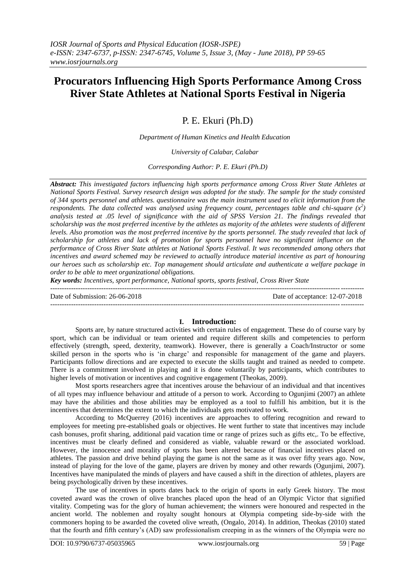# **Procurators Influencing High Sports Performance Among Cross River State Athletes at National Sports Festival in Nigeria**

P. E. Ekuri (Ph.D)

*Department of Human Kinetics and Health Education*

*University of Calabar, Calabar*

*Corresponding Author: P. E. Ekuri (Ph.D)*

*Abstract: This investigated factors influencing high sports performance among Cross River State Athletes at National Sports Festival. Survey research design was adopted for the study. The sample for the study consisted of 344 sports personnel and athletes. questionnaire was the main instrument used to elicit information from the respondents. The data collected was analysed using frequency count, percentages table and chi-square*  $(x^2)$ *analysis tested at .05 level of significance with the aid of SPSS Version 21. The findings revealed that scholarship was the most preferred incentive by the athletes as majority of the athletes were students of different levels. Also promotion was the most preferred incentive by the sports personnel. The study revealed that lack of scholarship for athletes and lack of promotion for sports personnel have no significant influence on the performance of Cross River State athletes at National Sports Festival. It was recommended among others that incentives and award schemed may be reviewed to actually introduce material incentive as part of honouring our heroes such as scholarship etc. Top management should articulate and authenticate a welfare package in order to be able to meet organizational obligations.*

*Key words: Incentives, sport performance, National sports, sports festival, Cross River State*

--------------------------------------------------------------------------------------------------------------------------------------- Date of Submission: 26-06-2018 Date of acceptance: 12-07-2018 ---------------------------------------------------------------------------------------------------------------------------------------

# **I. Introduction:**

Sports are, by nature structured activities with certain rules of engagement. These do of course vary by sport, which can be individual or team oriented and require different skills and competencies to perform effectively (strength, speed, dexterity, teamwork). However, there is generally a Coach/Instructor or some skilled person in the sports who is "in charge" and responsible for management of the game and players. Participants follow directions and are expected to execute the skills taught and trained as needed to compete. There is a commitment involved in playing and it is done voluntarily by participants, which contributes to higher levels of motivation or incentives and cognitive engagement (Theokas, 2009).

Most sports researchers agree that incentives arouse the behaviour of an individual and that incentives of all types may influence behaviour and attitude of a person to work. According to Ogunjimi (2007) an athlete may have the abilities and those abilities may be employed as a tool to fulfill his ambition, but it is the incentives that determines the extent to which the individuals gets motivated to work.

According to McQuerrey (2016) incentives are approaches to offering recognition and reward to employees for meeting pre-established goals or objectives. He went further to state that incentives may include cash bonuses, profit sharing, additional paid vacation time or range of prizes such as gifts etc,. To be effective, incentives must be clearly defined and considered as viable, valuable reward or the associated workload. However, the innocence and morality of sports has been altered because of financial incentives placed on athletes. The passion and drive behind playing the game is not the same as it was over fifty years ago. Now, instead of playing for the love of the game, players are driven by money and other rewards (Ogunjimi, 2007). Incentives have manipulated the minds of players and have caused a shift in the direction of athletes, players are being psychologically driven by these incentives.

The use of incentives in sports dates back to the origin of sports in early Greek history. The most coveted award was the crown of olive branches placed upon the head of an Olympic Victor that signified vitality. Competing was for the glory of human achievement; the winners were honoured and respected in the ancient world. The noblemen and royalty sought honours at Olympia competing side-by-side with the commoners hoping to be awarded the coveted olive wreath, (Ongalo, 2014). In addition, Theokas (2010) stated that the fourth and fifth century"s (AD) saw professionalism creeping in as the winners of the Olympia were no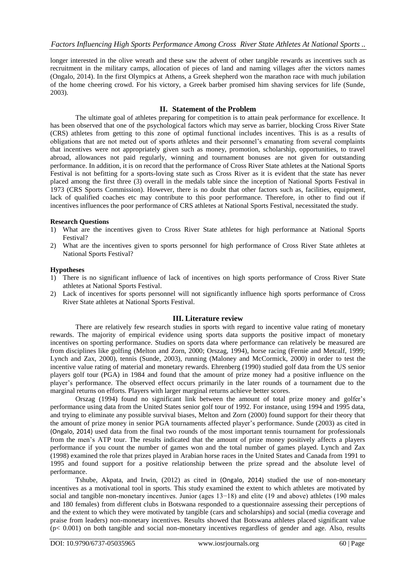longer interested in the olive wreath and these saw the advent of other tangible rewards as incentives such as recruitment in the military camps, allocation of pieces of land and naming villages after the victors names (Ongalo, 2014). In the first Olympics at Athens, a Greek shepherd won the marathon race with much jubilation of the home cheering crowd. For his victory, a Greek barber promised him shaving services for life (Sunde, 2003).

## **II. Statement of the Problem**

The ultimate goal of athletes preparing for competition is to attain peak performance for excellence. It has been observed that one of the psychological factors which may serve as barrier, blocking Cross River State (CRS) athletes from getting to this zone of optimal functional includes incentives. This is as a results of obligations that are not meted out of sports athletes and their personnel"s emanating from several complaints that incentives were not appropriately given such as money, promotion, scholarship, opportunities, to travel abroad, allowances not paid regularly, winning and tournament bonuses are not given for outstanding performance. In addition, it is on record that the performance of Cross River State athletes at the National Sports Festival is not befitting for a sports-loving state such as Cross River as it is evident that the state has never placed among the first three (3) overall in the medals table since the inception of National Sports Festival in 1973 (CRS Sports Commission). However, there is no doubt that other factors such as, facilities, equipment, lack of qualified coaches etc may contribute to this poor performance. Therefore, in other to find out if incentives influences the poor performance of CRS athletes at National Sports Festival, necessitated the study.

#### **Research Questions**

- 1) What are the incentives given to Cross River State athletes for high performance at National Sports Festival?
- 2) What are the incentives given to sports personnel for high performance of Cross River State athletes at National Sports Festival?

#### **Hypotheses**

- 1) There is no significant influence of lack of incentives on high sports performance of Cross River State athletes at National Sports Festival.
- 2) Lack of incentives for sports personnel will not significantly influence high sports performance of Cross River State athletes at National Sports Festival.

#### **III. Literature review**

There are relatively few research studies in sports with regard to incentive value rating of monetary rewards. The majority of empirical evidence using sports data supports the positive impact of monetary incentives on sporting performance. Studies on sports data where performance can relatively be measured are from disciplines like golfing (Melton and Zorn, 2000; Orszag, 1994), horse racing (Fernie and Metcalf, 1999; Lynch and Zax, 2000), tennis (Sunde, 2003), running (Maloney and McCormick, 2000) in order to test the incentive value rating of material and monetary rewards. Ehrenberg (1990) studied golf data from the US senior players golf tour (PGA) in 1984 and found that the amount of prize money had a positive influence on the player"s performance. The observed effect occurs primarily in the later rounds of a tournament due to the marginal returns on efforts. Players with larger marginal returns achieve better scores.

Orszag (1994) found no significant link between the amount of total prize money and golfer"s performance using data from the United States senior golf tour of 1992. For instance, using 1994 and 1995 data, and trying to eliminate any possible survival biases, Melton and Zorn (2000) found support for their theory that the amount of prize money in senior PGA tournaments affected player's performance. Sunde (2003) as cited in (Ongalo, 2014) used data from the final two rounds of the most important tennis tournament for professionals from the men"s ATP tour. The results indicated that the amount of prize money positively affects a players performance if you count the number of games won and the total number of games played. Lynch and Zax (1998) examined the role that prizes played in Arabian horse races in the United States and Canada from 1991 to 1995 and found support for a positive relationship between the prize spread and the absolute level of performance.

Tshube, Akpata, and Irwin, (2012) as cited in (Ongalo, 2014) studied the use of non-monetary incentives as a motivational tool in sports. This study examined the extent to which athletes are motivated by social and tangible non-monetary incentives. Junior (ages 13−18) and elite (19 and above) athletes (190 males and 180 females) from different clubs in Botswana responded to a questionnaire assessing their perceptions of and the extent to which they were motivated by tangible (cars and scholarships) and social (media coverage and praise from leaders) non-monetary incentives. Results showed that Botswana athletes placed significant value  $(p< 0.001)$  on both tangible and social non-monetary incentives regardless of gender and age. Also, results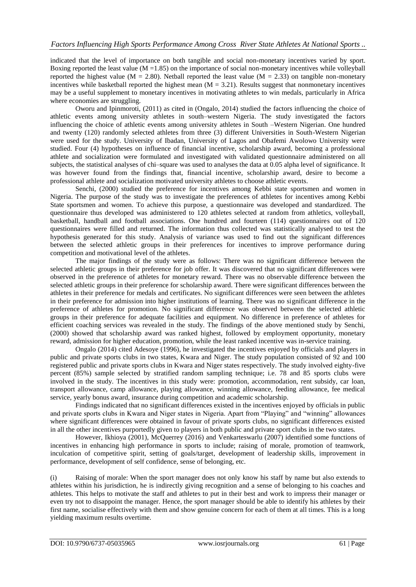indicated that the level of importance on both tangible and social non-monetary incentives varied by sport. Boxing reported the least value  $(M = 1.85)$  on the importance of social non-monetary incentives while volleyball reported the highest value (M = 2.80). Netball reported the least value (M = 2.33) on tangible non-monetary incentives while basketball reported the highest mean  $(M = 3.21)$ . Results suggest that nonmonetary incentives may be a useful supplement to monetary incentives in motivating athletes to win medals, particularly in Africa where economies are struggling.

Oworu and Ipinmoroti, (2011) as cited in (Ongalo, 2014) studied the factors influencing the choice of athletic events among university athletes in south–western Nigeria. The study investigated the factors influencing the choice of athletic events among university athletes in South –Western Nigerian. One hundred and twenty (120) randomly selected athletes from three (3) different Universities in South-Western Nigerian were used for the study. University of Ibadan, University of Lagos and Obafemi Awolowo University were studied. Four (4) hypotheses on influence of financial incentive, scholarship award, becoming a professional athlete and socialization were formulated and investigated with validated questionnaire administered on all subjects, the statistical analyses of chi–square was used to analyses the data at 0.05 alpha level of significance. It was however found from the findings that, financial incentive, scholarship award, desire to become a professional athlete and socialization motivated university athletes to choose athletic events.

Senchi, (2000) studied the preference for incentives among Kebbi state sportsmen and women in Nigeria. The purpose of the study was to investigate the preferences of athletes for incentives among Kebbi State sportsmen and women. To achieve this purpose, a questionnaire was developed and standardized. The questionnaire thus developed was administered to 120 athletes selected at random from athletics, volleyball, basketball, handball and football associations. One hundred and fourteen (114) questionnaires out of 120 questionnaires were filled and returned. The information thus collected was statistically analysed to test the hypothesis generated for this study. Analysis of variance was used to find out the significant differences between the selected athletic groups in their preferences for incentives to improve performance during competition and motivational level of the athletes.

The major findings of the study were as follows: There was no significant difference between the selected athletic groups in their preference for job offer. It was discovered that no significant differences were observed in the preference of athletes for monetary reward. There was no observable difference between the selected athletic groups in their preference for scholarship award. There were significant differences between the athletes in their preference for medals and certificates. No significant differences were seen between the athletes in their preference for admission into higher institutions of learning. There was no significant difference in the preference of athletes for promotion. No significant difference was observed between the selected athletic groups in their preference for adequate facilities and equipment. No difference in preference of athletes for efficient coaching services was revealed in the study. The findings of the above mentioned study by Senchi, (2000) showed that scholarship award was ranked highest, followed by employment opportunity, monetary reward, admission for higher education, promotion, while the least ranked incentive was in-service training.

Ongalo (2014) cited Adesoye (1996), he investigated the incentives enjoyed by officials and players in public and private sports clubs in two states, Kwara and Niger. The study population consisted of 92 and 100 registered public and private sports clubs in Kwara and Niger states respectively. The study involved eighty-five percent (85%) sample selected by stratified random sampling technique; i.e. 78 and 85 sports clubs were involved in the study. The incentives in this study were: promotion, accommodation, rent subsidy, car loan, transport allowance, camp allowance, playing allowance, winning allowance, feeding allowance, fee medical service, yearly bonus award, insurance during competition and academic scholarship.

Findings indicated that no significant differences existed in the incentives enjoyed by officials in public and private sports clubs in Kwara and Niger states in Nigeria. Apart from "Playing" and "winning" allowances where significant differences were obtained in favour of private sports clubs, no significant differences existed in all the other incentives purportedly given to players in both public and private sport clubs in the two states.

However, Ikhioya (2001), McQuerrey (2016) and Venkarteswarlu (2007) identified some functions of incentives in enhancing high performance in sports to include; raising of morale, promotion of teamwork, inculcation of competitive spirit, setting of goals/target, development of leadership skills, improvement in performance, development of self confidence, sense of belonging, etc.

(i) Raising of morale: When the sport manager does not only know his staff by name but also extends to athletes within his jurisdiction, he is indirectly giving recognition and a sense of belonging to his coaches and athletes. This helps to motivate the staff and athletes to put in their best and work to impress their manager or even try not to disappoint the manager. Hence, the sport manager should be able to identify his athletes by their first name, socialise effectively with them and show genuine concern for each of them at all times. This is a long yielding maximum results overtime.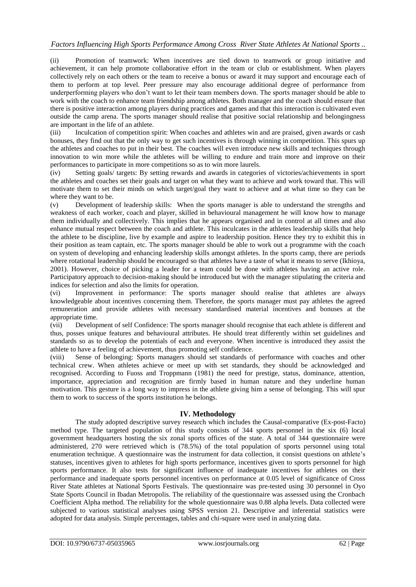# *Factors Influencing High Sports Performance Among Cross River State Athletes At National Sports ..*

(ii) Promotion of teamwork: When incentives are tied down to teamwork or group initiative and achievement, it can help promote collaborative effort in the team or club or establishment. When players collectively rely on each others or the team to receive a bonus or award it may support and encourage each of them to perform at top level. Peer pressure may also encourage additional degree of performance from underperforming players who don"t want to let their team members down. The sports manager should be able to work with the coach to enhance team friendship among athletes. Both manager and the coach should ensure that there is positive interaction among players during practices and games and that this interaction is cultivated even outside the camp arena. The sports manager should realise that positive social relationship and belongingness are important in the life of an athlete.

(iii) Inculcation of competition spirit: When coaches and athletes win and are praised, given awards or cash bonuses, they find out that the only way to get such incentives is through winning in competition. This spurs up the athletes and coaches to put in their best. The coaches will even introduce new skills and techniques through innovation to win more while the athletes will be willing to endure and train more and improve on their performances to participate in more competitions so as to win more laurels.<br>(iv) Setting goals/ targets: By setting rewards and awards in categorie

Setting goals/ targets: By setting rewards and awards in categories of victories/achievements in sport the athletes and coaches set their goals and target on what they want to achieve and work toward that. This will motivate them to set their minds on which target/goal they want to achieve and at what time so they can be where they want to be.

(v) Development of leadership skills: When the sports manager is able to understand the strengths and weakness of each worker, coach and player, skilled in behavioural management he will know how to manage them individually and collectively. This implies that he appears organised and in control at all times and also enhance mutual respect between the coach and athlete. This inculcates in the athletes leadership skills that help the athlete to be discipline, live by example and aspire to leadership position. Hence they try to exhibit this in their position as team captain, etc. The sports manager should be able to work out a programme with the coach on system of developing and enhancing leadership skills amongst athletes. In the sports camp, there are periods where rotational leadership should be encouraged so that athletes have a taste of what it means to serve (Ikhioya, 2001). However, choice of picking a leader for a team could be done with athletes having an active role. Participatory approach to decision-making should be introduced but with the manager stipulating the criteria and indices for selection and also the limits for operation.

(vi) Improvement in performance: The sports manager should realise that athletes are always knowledgeable about incentives concerning them. Therefore, the sports manager must pay athletes the agreed remuneration and provide athletes with necessary standardised material incentives and bonuses at the appropriate time.<br>(vii) Develon

Development of self Confidence: The sports manager should recognise that each athlete is different and thus, posses unique features and behavioural attributes. He should treat differently within set guidelines and standards so as to develop the potentials of each and everyone. When incentive is introduced they assist the athlete to have a feeling of achievement, thus promoting self confidence.

(viii) Sense of belonging: Sports managers should set standards of performance with coaches and other technical crew. When athletes achieve or meet up with set standards, they should be acknowledged and recognised. According to Fuoss and Troppmann (1981) the need for prestige, status, dominance, attention, importance, appreciation and recognition are firmly based in human nature and they underline human motivation. This gesture is a long way to impress in the athlete giving him a sense of belonging. This will spur them to work to success of the sports institution he belongs.

# **IV. Methodology**

The study adopted descriptive survey research which includes the Causal-comparative (Ex-post-Facto) method type. The targeted population of this study consists of 344 sports personnel in the six (6) local government headquarters hosting the six zonal sports offices of the state. A total of 344 questionnaire were administered, 270 were retrieved which is (78.5%) of the total population of sports personnel using total enumeration technique. A questionnaire was the instrument for data collection, it consist questions on athlete"s statuses, incentives given to athletes for high sports performance, incentives given to sports personnel for high sports performance. It also tests for significant influence of inadequate incentives for athletes on their performance and inadequate sports personnel incentives on performance at 0.05 level of significance of Cross River State athletes at National Sports Festivals. The questionnaire was pre-tested using 30 personnel in Oyo State Sports Council in Ibadan Metropolis. The reliability of the questionnaire was assessed using the Cronbach Coefficient Alpha method. The reliability for the whole questionnaire was 0.88 alpha levels. Data collected were subjected to various statistical analyses using SPSS version 21. Descriptive and inferential statistics were adopted for data analysis. Simple percentages, tables and chi-square were used in analyzing data.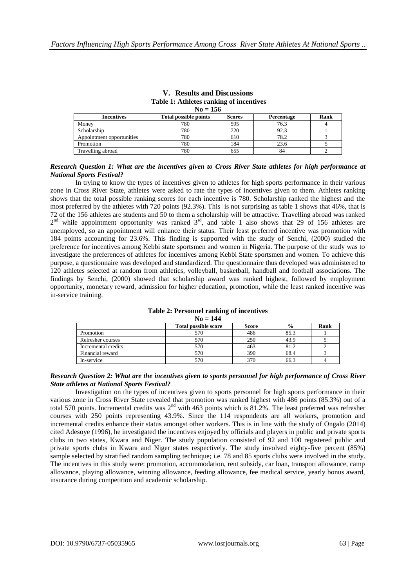| Table 1: Athletes ranking of incentives<br>$No = 156$ |     |     |      |  |  |  |  |  |
|-------------------------------------------------------|-----|-----|------|--|--|--|--|--|
|                                                       |     |     |      |  |  |  |  |  |
| Money                                                 | 780 | 595 | 76.3 |  |  |  |  |  |
| Scholarship                                           | 780 | 720 | 92.3 |  |  |  |  |  |
| Appointment opportunities                             | 780 | 610 | 78.2 |  |  |  |  |  |
| Promotion                                             | 780 | 184 | 23.6 |  |  |  |  |  |
| Travelling abroad                                     | 780 | 655 | 84   |  |  |  |  |  |

# **V. Results and Discussions Table 1: Athletes ranking of incentives**

#### *Research Question 1: What are the incentives given to Cross River State athletes for high performance at National Sports Festival?*

In trying to know the types of incentives given to athletes for high sports performance in their various zone in Cross River State, athletes were asked to rate the types of incentives given to them. Athletes ranking shows that the total possible ranking scores for each incentive is 780. Scholarship ranked the highest and the most preferred by the athletes with 720 points (92.3%). This is not surprising as table 1 shows that 46%, that is 72 of the 156 athletes are students and 50 to them a scholarship will be attractive. Travelling abroad was ranked  $2<sup>nd</sup>$  while appointment opportunity was ranked  $3<sup>rd</sup>$ , and table 1 also shows that 29 of 156 athletes are unemployed, so an appointment will enhance their status. Their least preferred incentive was promotion with 184 points accounting for 23.6%. This finding is supported with the study of Senchi, (2000) studied the preference for incentives among Kebbi state sportsmen and women in Nigeria. The purpose of the study was to investigate the preferences of athletes for incentives among Kebbi State sportsmen and women. To achieve this purpose, a questionnaire was developed and standardized. The questionnaire thus developed was administered to 120 athletes selected at random from athletics, volleyball, basketball, handball and football associations. The findings by Senchi, (2000) showed that scholarship award was ranked highest, followed by employment opportunity, monetary reward, admission for higher education, promotion, while the least ranked incentive was in-service training.

#### **Table 2: Personnel ranking of incentives No = 144**

|                     | <b>Total possible score</b> | <b>Score</b> | $\frac{0}{0}$ | Rank |  |  |  |
|---------------------|-----------------------------|--------------|---------------|------|--|--|--|
| Promotion           | 570                         | 486          | 85.3          |      |  |  |  |
| Refresher courses   | 570                         | 250          | 43.9          |      |  |  |  |
| Incremental credits | 570                         | 463          | 81.2          |      |  |  |  |
| Financial reward    | 570                         | 390          | 68.4          |      |  |  |  |
| In-service          | 570                         | 370          | 66.3          |      |  |  |  |

### *Research Question 2: What are the incentives given to sports personnel for high performance of Cross River State athletes at National Sports Festival?*

Investigation on the types of incentives given to sports personnel for high sports performance in their various zone in Cross River State revealed that promotion was ranked highest with 486 points (85.3%) out of a total 570 points. Incremental credits was  $2<sup>nd</sup>$  with 463 points which is 81.2%. The least preferred was refresher courses with 250 points representing 43.9%. Since the 114 respondents are all workers, promotion and incremental credits enhance their status amongst other workers. This is in line with the study of Ongalo (2014) cited Adesoye (1996), he investigated the incentives enjoyed by officials and players in public and private sports clubs in two states, Kwara and Niger. The study population consisted of 92 and 100 registered public and private sports clubs in Kwara and Niger states respectively. The study involved eighty-five percent (85%) sample selected by stratified random sampling technique; i.e. 78 and 85 sports clubs were involved in the study. The incentives in this study were: promotion, accommodation, rent subsidy, car loan, transport allowance, camp allowance, playing allowance, winning allowance, feeding allowance, fee medical service, yearly bonus award, insurance during competition and academic scholarship.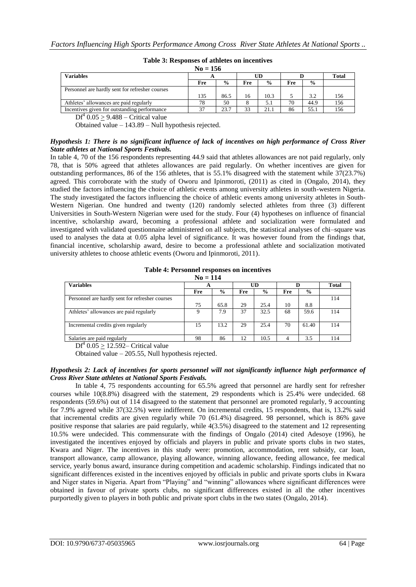| $No = 156$                                      |     |               |     |               |     |               |              |
|-------------------------------------------------|-----|---------------|-----|---------------|-----|---------------|--------------|
| <b>Variables</b>                                |     |               | UD  |               |     |               | <b>Total</b> |
|                                                 | Fre | $\frac{6}{9}$ | Fre | $\frac{6}{9}$ | Fre | $\frac{0}{0}$ |              |
| Personnel are hardly sent for refresher courses |     |               |     |               |     |               |              |
|                                                 | 135 | 86.5          | 16  | 10.3          |     | 3.2           | 156          |
| Athletes' allowances are paid regularly         | 78  | 50            |     | 5.1           | 70  | 44.9          | 156          |
| Incentives given for outstanding performance    | 37  | 23.7          | 33  | 21.1          | 86  | 55.1          | 156          |

#### **Table 3: Responses of athletes on incentives**

 $DF<sup>4</sup> 0.05 \ge 9.488$  – Critical value

Obtained value – 143.89 – Null hypothesis rejected.

#### *Hypothesis 1: There is no significant influence of lack of incentives on high performance of Cross River State athletes at National Sports Festivals.*

In table 4, 70 of the 156 respondents representing 44.9 said that athletes allowances are not paid regularly, only 78, that is 50% agreed that athletes allowances are paid regularly. On whether incentives are given for outstanding performances, 86 of the 156 athletes, that is 55.1% disagreed with the statement while 37(23.7%) agreed. This corroborate with the study of Oworu and Ipinmoroti, (2011) as cited in (Ongalo, 2014), they studied the factors influencing the choice of athletic events among university athletes in south-western Nigeria. The study investigated the factors influencing the choice of athletic events among university athletes in South-Western Nigerian. One hundred and twenty (120) randomly selected athletes from three (3) different Universities in South-Western Nigerian were used for the study. Four (4) hypotheses on influence of financial incentive, scholarship award, becoming a professional athlete and socialization were formulated and investigated with validated questionnaire administered on all subjects, the statistical analyses of chi–square was used to analyses the data at 0.05 alpha level of significance. It was however found from the findings that, financial incentive, scholarship award, desire to become a professional athlete and socialization motivated university athletes to choose athletic events (Oworu and Ipinmoroti, 2011).

#### **Table 4: Personnel responses on incentives No = 114**

| $110 - 117$                                     |     |               |     |               |     |               |              |
|-------------------------------------------------|-----|---------------|-----|---------------|-----|---------------|--------------|
| <b>Variables</b>                                | A   |               | UD  |               |     |               | <b>Total</b> |
|                                                 | Fre | $\frac{6}{9}$ | Fre | $\frac{0}{0}$ | Fre | $\frac{6}{9}$ |              |
| Personnel are hardly sent for refresher courses |     |               |     |               |     |               | 114          |
|                                                 | 75  | 65.8          | 29  | 25.4          | 10  | 8.8           |              |
| Athletes' allowances are paid regularly         |     | 7.9           | 37  | 32.5          | 68  | 59.6          | 114          |
| Incremental credits given regularly             | 15  | 13.2          | 29  | 25.4          | 70  | 61.40         | 114          |
| Salaries are paid regularly                     | 98  | 86            | 12  | 10.5          |     | 3.5           | 114          |

 $DF<sup>4</sup> 0.05 \ge 12.592$ – Critical value

Obtained value – 205.55, Null hypothesis rejected.

#### *Hypothesis 2: Lack of incentives for sports personnel will not significantly influence high performance of Cross River State athletes at National Sports Festivals.*

In table 4, 75 respondents accounting for 65.5% agreed that personnel are hardly sent for refresher courses while 10(8.8%) disagreed with the statement, 29 respondents which is 25.4% were undecided. 68 respondents (59.6%) out of 114 disagreed to the statement that personnel are promoted regularly, 9 accounting for 7.9% agreed while 37(32.5%) were indifferent. On incremental credits, 15 respondents, that is, 13.2% said that incremental credits are given regularly while 70 (61.4%) disagreed. 98 personnel, which is 86% gave positive response that salaries are paid regularly, while 4(3.5%) disagreed to the statement and 12 representing 10.5% were undecided. This commensurate with the findings of Ongalo (2014) cited Adesoye (1996), he investigated the incentives enjoyed by officials and players in public and private sports clubs in two states, Kwara and Niger. The incentives in this study were: promotion, accommodation, rent subsidy, car loan, transport allowance, camp allowance, playing allowance, winning allowance, feeding allowance, fee medical service, yearly bonus award, insurance during competition and academic scholarship. Findings indicated that no significant differences existed in the incentives enjoyed by officials in public and private sports clubs in Kwara and Niger states in Nigeria. Apart from "Playing" and "winning" allowances where significant differences were obtained in favour of private sports clubs, no significant differences existed in all the other incentives purportedly given to players in both public and private sport clubs in the two states (Ongalo, 2014).